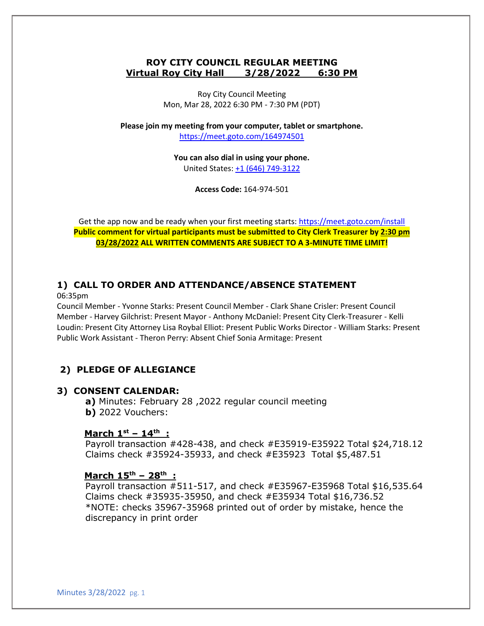#### **ROY CITY COUNCIL REGULAR MEETING Virtual Roy City Hall 3/28/2022 6:30 PM**

Roy City Council Meeting Mon, Mar 28, 2022 6:30 PM - 7:30 PM (PDT)

**Please join my meeting from your computer, tablet or smartphone.**  <https://meet.goto.com/164974501>

> **You can also dial in using your phone.** United States: [+1 \(646\) 749-3122](tel:+16467493122,,164974501)

> > **Access Code:** 164-974-501

Get the app now and be ready when your first meeting starts:<https://meet.goto.com/install> **Public comment for virtual participants must be submitted to City Clerk Treasurer by 2:30 pm 03/28/2022 ALL WRITTEN COMMENTS ARE SUBJECT TO A 3-MINUTE TIME LIMIT!**

# **1) CALL TO ORDER AND ATTENDANCE/ABSENCE STATEMENT**

06:35pm

Council Member - Yvonne Starks: Present Council Member - Clark Shane Crisler: Present Council Member - Harvey Gilchrist: Present Mayor - Anthony McDaniel: Present City Clerk-Treasurer - Kelli Loudin: Present City Attorney Lisa Roybal Elliot: Present Public Works Director - William Starks: Present Public Work Assistant - Theron Perry: Absent Chief Sonia Armitage: Present

## **2) PLEDGE OF ALLEGIANCE**

#### **3) CONSENT CALENDAR:**

**a)** Minutes: February 28 ,2022 regular council meeting **b)** 2022 Vouchers:

#### **March 1 st – 14th :**

Payroll transaction #428-438, and check #E35919-E35922 Total \$24,718.12 Claims check #35924-35933, and check #E35923 Total \$5,487.51

#### **March 15th – 28th :**

Payroll transaction #511-517, and check #E35967-E35968 Total \$16,535.64 Claims check #35935-35950, and check #E35934 Total \$16,736.52 \*NOTE: checks 35967-35968 printed out of order by mistake, hence the discrepancy in print order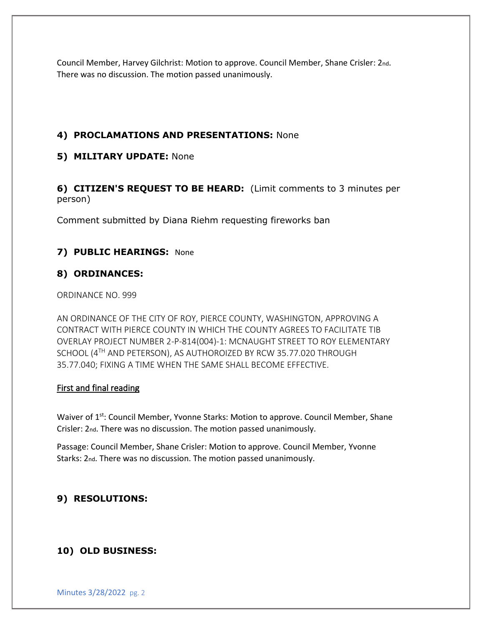Council Member, Harvey Gilchrist: Motion to approve. Council Member, Shane Crisler: 2nd. There was no discussion. The motion passed unanimously.

### **4) PROCLAMATIONS AND PRESENTATIONS:** None

### **5) MILITARY UPDATE:** None

**6) CITIZEN'S REQUEST TO BE HEARD:** (Limit comments to 3 minutes per person)

Comment submitted by Diana Riehm requesting fireworks ban

## **7) PUBLIC HEARINGS:** None

## **8) ORDINANCES:**

ORDINANCE NO. 999

AN ORDINANCE OF THE CITY OF ROY, PIERCE COUNTY, WASHINGTON, APPROVING A CONTRACT WITH PIERCE COUNTY IN WHICH THE COUNTY AGREES TO FACILITATE TIB OVERLAY PROJECT NUMBER 2-P-814(004)-1: MCNAUGHT STREET TO ROY ELEMENTARY SCHOOL (4TH AND PETERSON), AS AUTHOROIZED BY RCW 35.77.020 THROUGH 35.77.040; FIXING A TIME WHEN THE SAME SHALL BECOME EFFECTIVE.

### First and final reading

Waiver of 1<sup>st</sup>: Council Member, Yvonne Starks: Motion to approve. Council Member, Shane Crisler: 2nd. There was no discussion. The motion passed unanimously.

Passage: Council Member, Shane Crisler: Motion to approve. Council Member, Yvonne Starks: 2nd. There was no discussion. The motion passed unanimously.

## **9) RESOLUTIONS:**

## **10) OLD BUSINESS:**